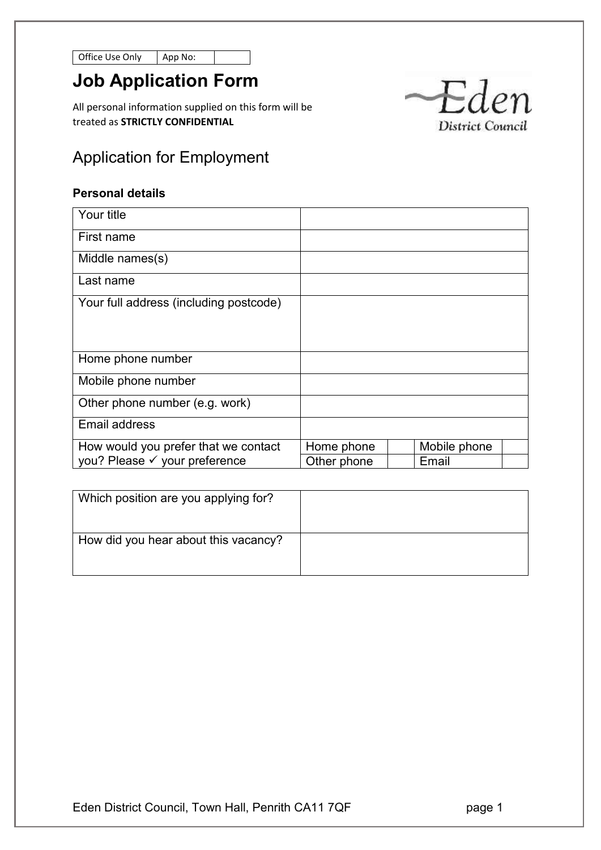Office Use Only App

| p No: |  |
|-------|--|
|-------|--|

# **Job Application Form**

All personal information supplied on this form will be treated as **STRICTLY CONFIDENTIAL**



## **Personal details**

| Your title                             |             |              |  |
|----------------------------------------|-------------|--------------|--|
| First name                             |             |              |  |
| Middle names(s)                        |             |              |  |
| Last name                              |             |              |  |
| Your full address (including postcode) |             |              |  |
|                                        |             |              |  |
|                                        |             |              |  |
| Home phone number                      |             |              |  |
| Mobile phone number                    |             |              |  |
| Other phone number (e.g. work)         |             |              |  |
| <b>Email address</b>                   |             |              |  |
| How would you prefer that we contact   | Home phone  | Mobile phone |  |
| you? Please √ your preference          | Other phone | Email        |  |

| Which position are you applying for? |  |
|--------------------------------------|--|
| How did you hear about this vacancy? |  |

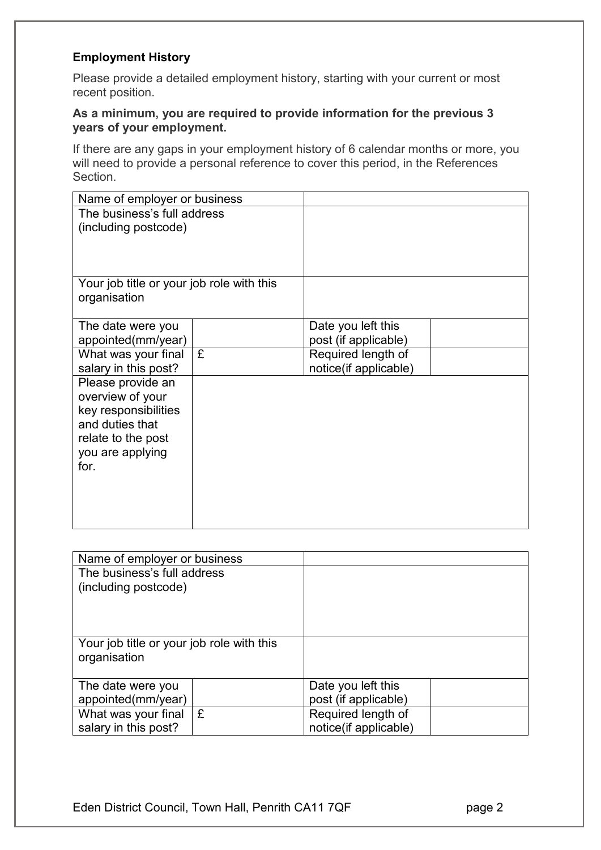## **Employment History**

Please provide a detailed employment history, starting with your current or most recent position.

#### **As a minimum, you are required to provide information for the previous 3 years of your employment.**

If there are any gaps in your employment history of 6 calendar months or more, you will need to provide a personal reference to cover this period, in the References Section.

| Name of employer or business              |   |                       |  |
|-------------------------------------------|---|-----------------------|--|
| The business's full address               |   |                       |  |
| (including postcode)                      |   |                       |  |
|                                           |   |                       |  |
|                                           |   |                       |  |
|                                           |   |                       |  |
| Your job title or your job role with this |   |                       |  |
| organisation                              |   |                       |  |
|                                           |   |                       |  |
| The date were you                         |   | Date you left this    |  |
| appointed(mm/year)                        |   | post (if applicable)  |  |
| What was your final                       | £ | Required length of    |  |
| salary in this post?                      |   | notice(if applicable) |  |
| Please provide an                         |   |                       |  |
| overview of your                          |   |                       |  |
| key responsibilities                      |   |                       |  |
| and duties that                           |   |                       |  |
| relate to the post                        |   |                       |  |
| you are applying                          |   |                       |  |
| for.                                      |   |                       |  |
|                                           |   |                       |  |
|                                           |   |                       |  |
|                                           |   |                       |  |
|                                           |   |                       |  |

| Name of employer or business                              |     |                       |  |
|-----------------------------------------------------------|-----|-----------------------|--|
| The business's full address<br>(including postcode)       |     |                       |  |
| Your job title or your job role with this<br>organisation |     |                       |  |
| The date were you                                         |     | Date you left this    |  |
| appointed(mm/year)                                        |     | post (if applicable)  |  |
| What was your final                                       | l £ | Required length of    |  |
| salary in this post?                                      |     | notice(if applicable) |  |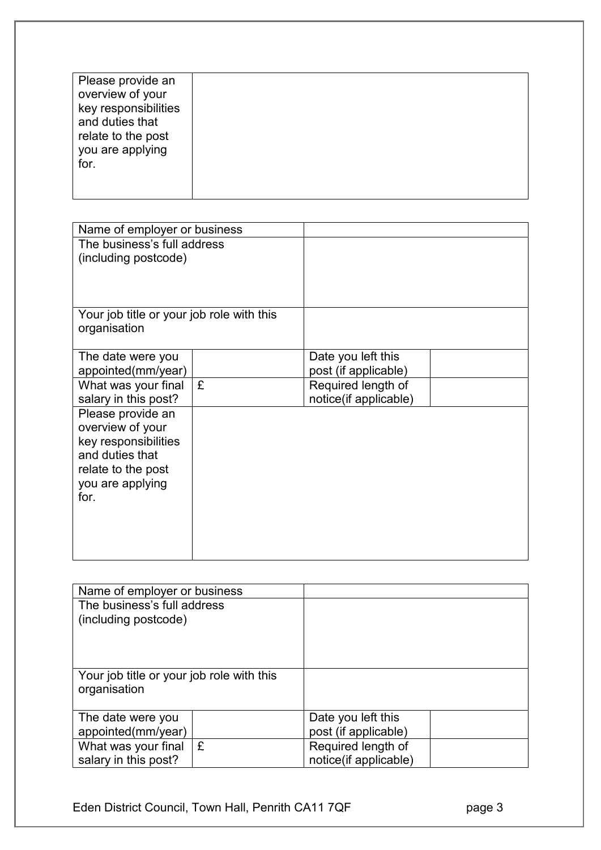| Name of employer or business                   |  |
|------------------------------------------------|--|
| The business's full address                    |  |
| (including postcode)                           |  |
|                                                |  |
|                                                |  |
| Your job title or your job role with this      |  |
| organisation                                   |  |
|                                                |  |
| Date you left this<br>The date were you        |  |
| appointed(mm/year)<br>post (if applicable)     |  |
| £<br>Required length of<br>What was your final |  |
| salary in this post?<br>notice(if applicable)  |  |
| Please provide an                              |  |
| overview of your                               |  |
| key responsibilities                           |  |
| and duties that                                |  |
| relate to the post                             |  |
| you are applying                               |  |
| for.                                           |  |
|                                                |  |
|                                                |  |
|                                                |  |

| Name of employer or business              |    |                       |  |
|-------------------------------------------|----|-----------------------|--|
| The business's full address               |    |                       |  |
| (including postcode)                      |    |                       |  |
|                                           |    |                       |  |
|                                           |    |                       |  |
|                                           |    |                       |  |
| Your job title or your job role with this |    |                       |  |
| organisation                              |    |                       |  |
|                                           |    |                       |  |
| The date were you                         |    | Date you left this    |  |
| appointed(mm/year)                        |    | post (if applicable)  |  |
| What was your final                       | ١£ | Required length of    |  |
| salary in this post?                      |    | notice(if applicable) |  |

Eden District Council, Town Hall, Penrith CA11 7QF **page 3**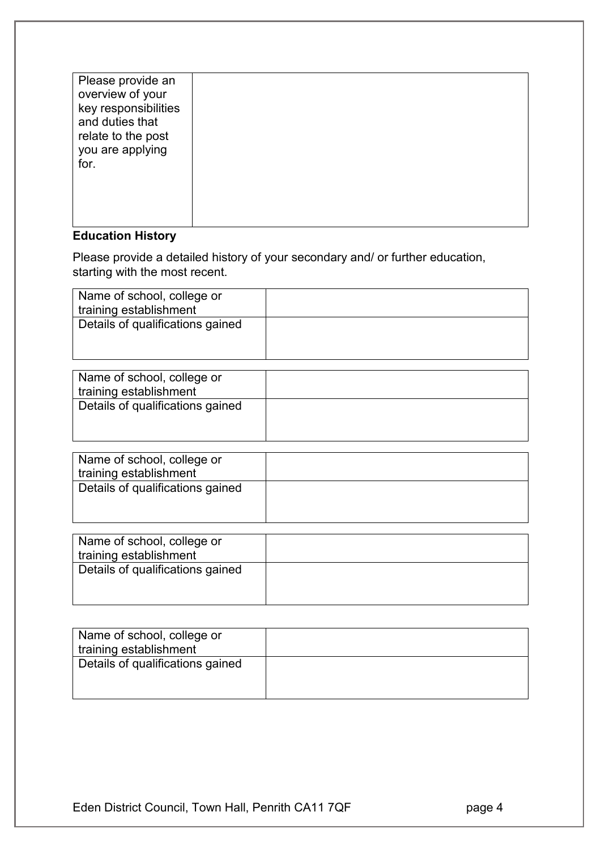| Please provide an<br>overview of your<br>key responsibilities<br>and duties that<br>relate to the post<br>you are applying<br>for. |  |
|------------------------------------------------------------------------------------------------------------------------------------|--|
|                                                                                                                                    |  |

## **Education History**

Please provide a detailed history of your secondary and/ or further education, starting with the most recent.

| Name of school, college or       |  |
|----------------------------------|--|
| training establishment           |  |
| Details of qualifications gained |  |
|                                  |  |

| Name of school, college or       |  |
|----------------------------------|--|
| training establishment           |  |
| Details of qualifications gained |  |
|                                  |  |
|                                  |  |
|                                  |  |

| Name of school, college or<br>training establishment |  |
|------------------------------------------------------|--|
| Details of qualifications gained                     |  |

| Name of school, college or       |  |
|----------------------------------|--|
| training establishment           |  |
| Details of qualifications gained |  |
|                                  |  |
|                                  |  |

| Name of school, college or       |  |
|----------------------------------|--|
| training establishment           |  |
| Details of qualifications gained |  |
|                                  |  |
|                                  |  |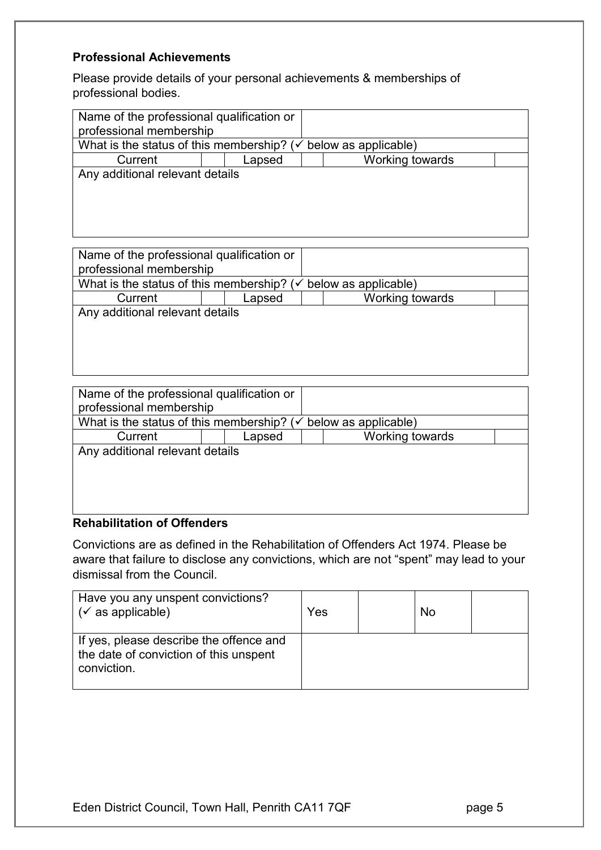## **Professional Achievements**

Please provide details of your personal achievements & memberships of professional bodies.

| Name of the professional qualification or<br>professional membership |        |  |                      |  |
|----------------------------------------------------------------------|--------|--|----------------------|--|
| What is the status of this membership? ( $\checkmark$                |        |  | below as applicable) |  |
| Current                                                              | Lapsed |  | Working towards      |  |
| Any additional relevant details                                      |        |  |                      |  |
|                                                                      |        |  |                      |  |
|                                                                      |        |  |                      |  |

| Name of the professional qualification or                                  |        |                 |  |
|----------------------------------------------------------------------------|--------|-----------------|--|
| professional membership                                                    |        |                 |  |
| What is the status of this membership? ( $\checkmark$ below as applicable) |        |                 |  |
| Current                                                                    | Lapsed | Working towards |  |
| Any additional relevant details                                            |        |                 |  |
|                                                                            |        |                 |  |
|                                                                            |        |                 |  |

| Name of the professional qualification or             |        |                      |  |
|-------------------------------------------------------|--------|----------------------|--|
| professional membership                               |        |                      |  |
| What is the status of this membership? ( $\checkmark$ |        | below as applicable) |  |
| Current                                               | Lapsed | Working towards      |  |
| Any additional relevant details                       |        |                      |  |
|                                                       |        |                      |  |
|                                                       |        |                      |  |
|                                                       |        |                      |  |
|                                                       |        |                      |  |
| <b>Rehabilitation of Offenders</b>                    |        |                      |  |

Convictions are as defined in the Rehabilitation of Offenders Act 1974. Please be aware that failure to disclose any convictions, which are not "spent" may lead to your dismissal from the Council.

| Have you any unspent convictions?<br>$\sqrt{\check{}}$ as applicable)                            | Yes | No |  |
|--------------------------------------------------------------------------------------------------|-----|----|--|
| If yes, please describe the offence and<br>the date of conviction of this unspent<br>conviction. |     |    |  |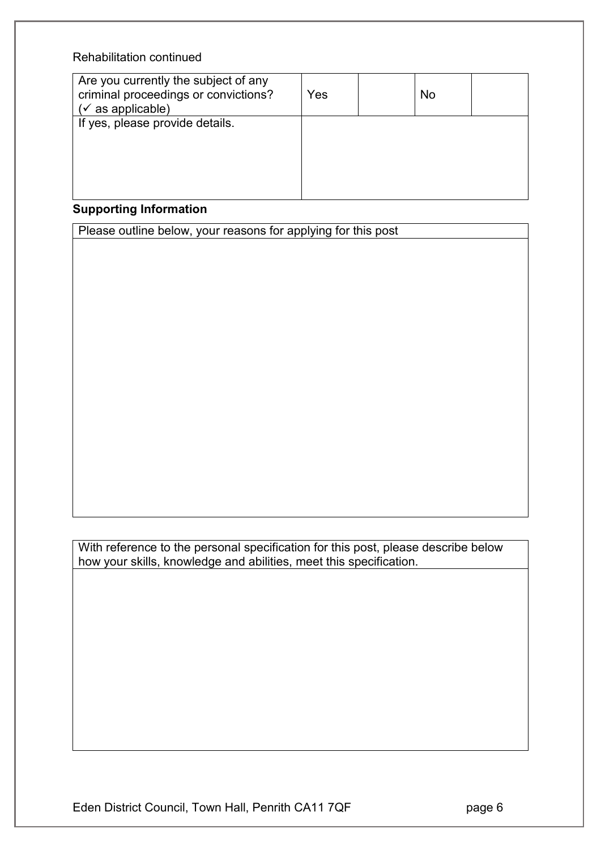## Rehabilitation continued

| Are you currently the subject of any<br>criminal proceedings or convictions?<br>$(\checkmark)$ as applicable) | Yes | No |  |
|---------------------------------------------------------------------------------------------------------------|-----|----|--|
| If yes, please provide details.                                                                               |     |    |  |
|                                                                                                               |     |    |  |

## **Supporting Information**

Please outline below, your reasons for applying for this post

With reference to the personal specification for this post, please describe below how your skills, knowledge and abilities, meet this specification.

Eden District Council, Town Hall, Penrith CA11 7QF **page 6**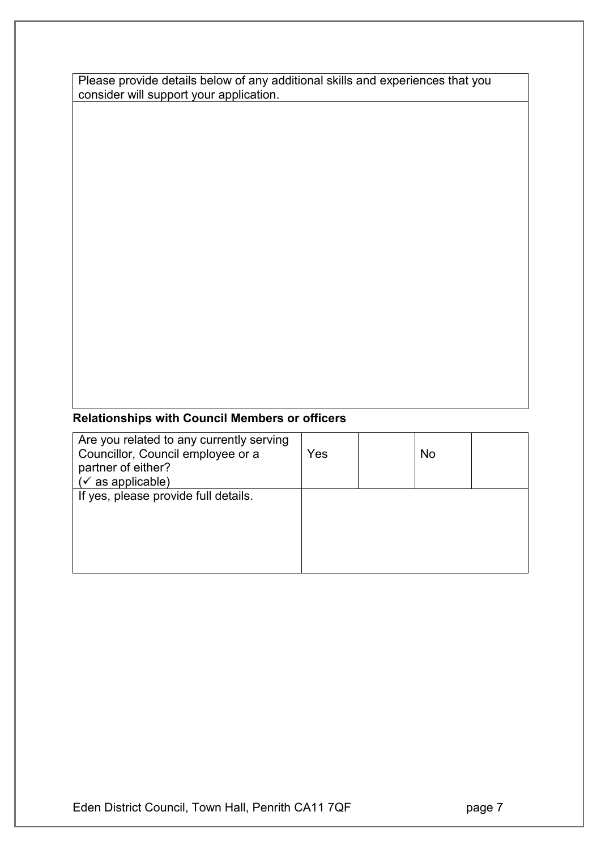| Please provide details below of any additional skills and experiences that you |  |
|--------------------------------------------------------------------------------|--|
| consider will support your application.                                        |  |

## **Relationships with Council Members or officers**

| Yes | No |  |
|-----|----|--|
|     |    |  |
|     |    |  |
|     |    |  |
|     |    |  |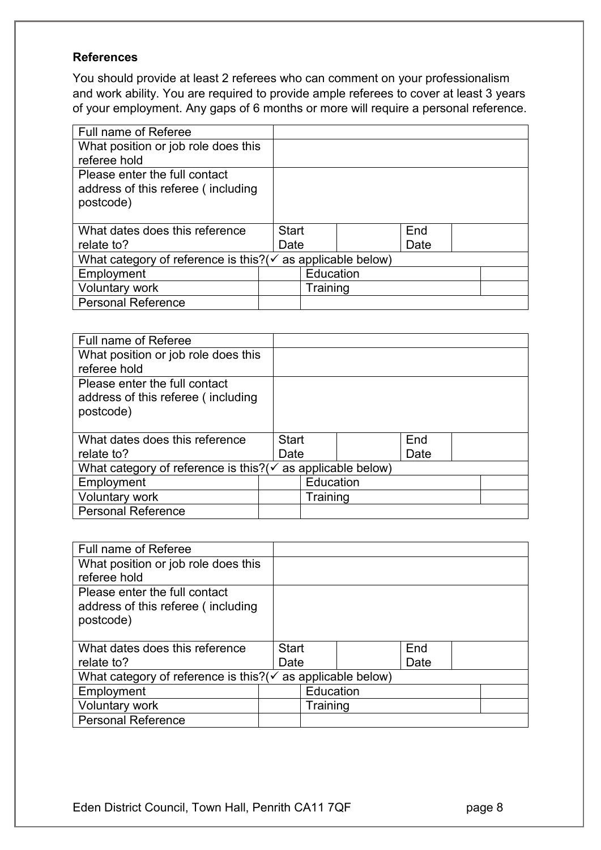## **References**

You should provide at least 2 referees who can comment on your professionalism and work ability. You are required to provide ample referees to cover at least 3 years of your employment. Any gaps of 6 months or more will require a personal reference.

| Full name of Referee                                                    |              |           |      |  |
|-------------------------------------------------------------------------|--------------|-----------|------|--|
| What position or job role does this                                     |              |           |      |  |
| referee hold                                                            |              |           |      |  |
| Please enter the full contact                                           |              |           |      |  |
| address of this referee (including                                      |              |           |      |  |
| postcode)                                                               |              |           |      |  |
|                                                                         |              |           |      |  |
| What dates does this reference                                          | <b>Start</b> |           | End  |  |
| relate to?                                                              | Date         |           | Date |  |
| What category of reference is this? ( $\checkmark$ as applicable below) |              |           |      |  |
| Employment                                                              |              | Education |      |  |
| <b>Voluntary work</b>                                                   |              | Training  |      |  |
| <b>Personal Reference</b>                                               |              |           |      |  |

| <b>Full name of Referee</b>                       |              |           |                      |      |  |
|---------------------------------------------------|--------------|-----------|----------------------|------|--|
| What position or job role does this               |              |           |                      |      |  |
| referee hold                                      |              |           |                      |      |  |
| Please enter the full contact                     |              |           |                      |      |  |
| address of this referee (including                |              |           |                      |      |  |
| postcode)                                         |              |           |                      |      |  |
|                                                   |              |           |                      |      |  |
|                                                   |              |           |                      |      |  |
| What dates does this reference                    | <b>Start</b> |           |                      | End  |  |
| relate to?                                        | Date         |           |                      | Date |  |
| What category of reference is this?( $\checkmark$ |              |           | as applicable below) |      |  |
| Employment                                        |              | Education |                      |      |  |
| <b>Voluntary work</b>                             |              | Training  |                      |      |  |
| <b>Personal Reference</b>                         |              |           |                      |      |  |

| Full name of Referee                               |              |           |                      |      |  |
|----------------------------------------------------|--------------|-----------|----------------------|------|--|
| What position or job role does this                |              |           |                      |      |  |
| referee hold                                       |              |           |                      |      |  |
| Please enter the full contact                      |              |           |                      |      |  |
| address of this referee (including                 |              |           |                      |      |  |
| postcode)                                          |              |           |                      |      |  |
|                                                    |              |           |                      |      |  |
| What dates does this reference                     | <b>Start</b> |           |                      | End  |  |
| relate to?                                         | Date         |           |                      | Date |  |
| What category of reference is this? $(\checkmark)$ |              |           | as applicable below) |      |  |
| Employment                                         |              | Education |                      |      |  |
| <b>Voluntary work</b>                              |              | Training  |                      |      |  |
| <b>Personal Reference</b>                          |              |           |                      |      |  |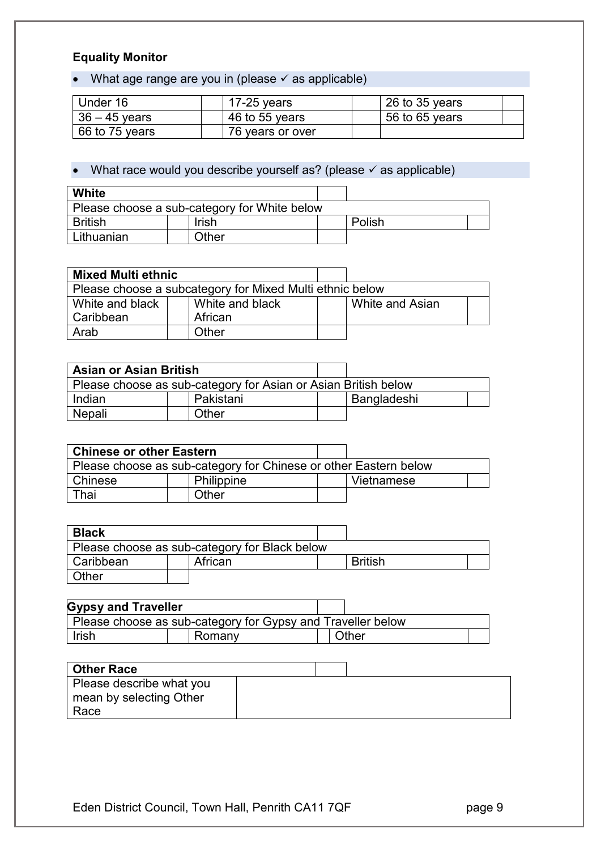## **Equality Monitor**

• What age range are you in (please  $\checkmark$  as applicable)

| Under 16        | 17-25 years      | $26$ to 35 years |
|-----------------|------------------|------------------|
| $36 - 45$ years | 46 to 55 years   | 56 to 65 years   |
| 66 to 75 years  | 76 years or over |                  |

## • What race would you describe yourself as? (please  $\checkmark$  as applicable)

| White                                        |       |  |        |  |
|----------------------------------------------|-------|--|--------|--|
| Please choose a sub-category for White below |       |  |        |  |
| <b>British</b>                               | Irish |  | Polish |  |
| Lithuanian                                   | Other |  |        |  |

| <b>Mixed Multi ethnic</b>                                |  |                 |  |                 |  |
|----------------------------------------------------------|--|-----------------|--|-----------------|--|
| Please choose a subcategory for Mixed Multi ethnic below |  |                 |  |                 |  |
| White and black I                                        |  | White and black |  | White and Asian |  |
| l Caribbean                                              |  | African         |  |                 |  |
| Arab                                                     |  | Other           |  |                 |  |

| <b>Asian or Asian British</b>                                  |           |  |             |  |
|----------------------------------------------------------------|-----------|--|-------------|--|
| Please choose as sub-category for Asian or Asian British below |           |  |             |  |
| Indian                                                         | Pakistani |  | Bangladeshi |  |
| Nepali                                                         | Other     |  |             |  |

| <b>Chinese or other Eastern</b>                                  |            |  |            |  |
|------------------------------------------------------------------|------------|--|------------|--|
| Please choose as sub-category for Chinese or other Eastern below |            |  |            |  |
| Chinese                                                          | Philippine |  | Vietnamese |  |
| Thai                                                             | Other      |  |            |  |

| <b>Black</b> |                                               |                |  |
|--------------|-----------------------------------------------|----------------|--|
|              | Please choose as sub-category for Black below |                |  |
| l Caribbean  | African                                       | <b>British</b> |  |
| <b>Other</b> |                                               |                |  |

| <b>Gypsy and Traveller</b> |                                                             |              |  |
|----------------------------|-------------------------------------------------------------|--------------|--|
|                            | Please choose as sub-category for Gypsy and Traveller below |              |  |
| Irish                      | Romany                                                      | <b>つther</b> |  |

| <b>Other Race</b>        |  |  |
|--------------------------|--|--|
| Please describe what you |  |  |
| mean by selecting Other  |  |  |
| Race                     |  |  |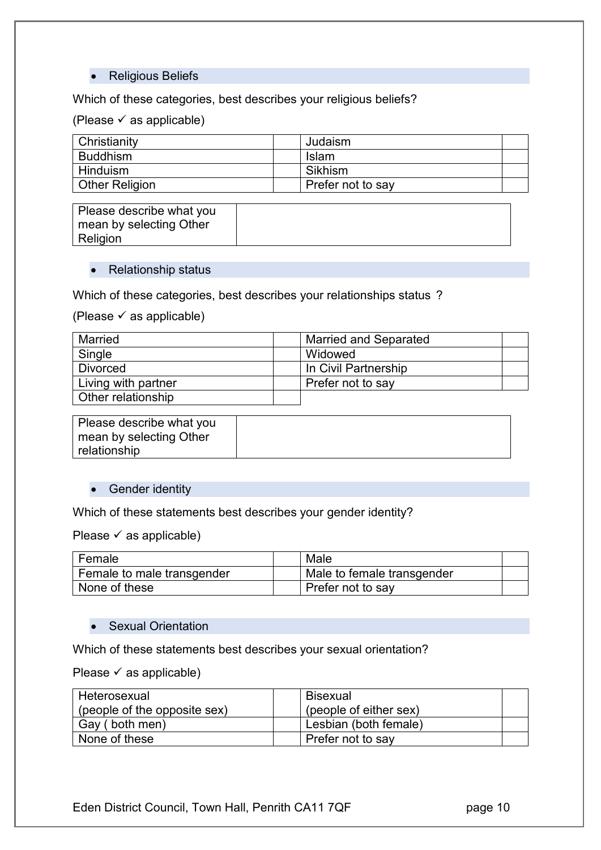#### Religious Beliefs

#### Which of these categories, best describes your religious beliefs?

(Please  $\checkmark$  as applicable)

| Christianity          | Judaism           |  |
|-----------------------|-------------------|--|
| <b>Buddhism</b>       | <b>Islam</b>      |  |
| Hinduism              | Sikhism           |  |
| <b>Other Religion</b> | Prefer not to say |  |

| Please describe what you |  |
|--------------------------|--|
| mean by selecting Other  |  |
| Religion                 |  |

#### • Relationship status

Which of these categories, best describes your relationships status ?

(Please  $\checkmark$  as applicable)

| Married             | <b>Married and Separated</b> |  |
|---------------------|------------------------------|--|
| Single              | Widowed                      |  |
| <b>Divorced</b>     | In Civil Partnership         |  |
| Living with partner | Prefer not to say            |  |
| Other relationship  |                              |  |

| Please describe what you |  |
|--------------------------|--|
| mean by selecting Other  |  |
| relationship             |  |

#### • Gender identity

Which of these statements best describes your gender identity?

Please  $\checkmark$  as applicable)

| Female                     | Male                       |  |
|----------------------------|----------------------------|--|
| Female to male transgender | Male to female transgender |  |
| None of these              | Prefer not to say          |  |

#### • Sexual Orientation

Which of these statements best describes your sexual orientation?

Please  $\checkmark$  as applicable)

| Heterosexual                 | l Bisexual             |  |
|------------------------------|------------------------|--|
| (people of the opposite sex) | (people of either sex) |  |
| Gay (both men)               | Lesbian (both female)  |  |
| None of these                | Prefer not to say      |  |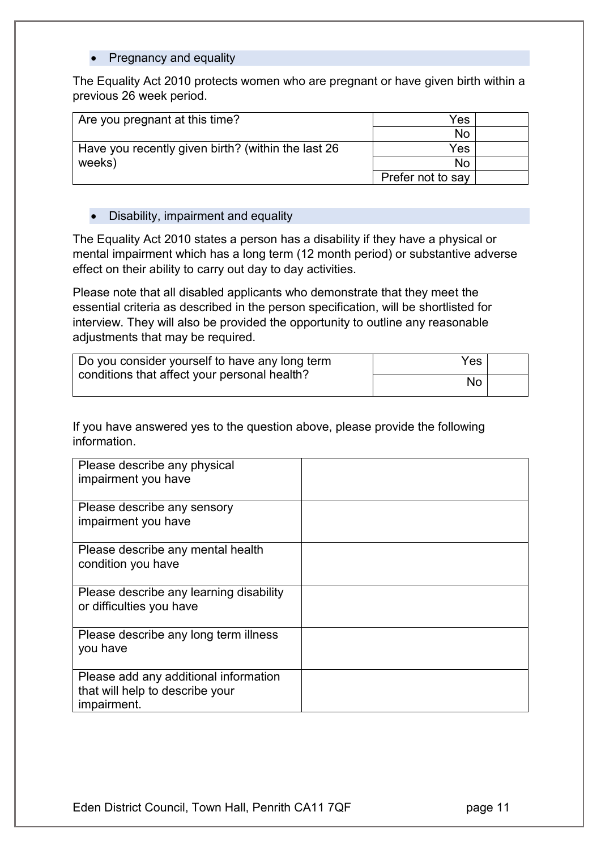#### • Pregnancy and equality

The Equality Act 2010 protects women who are pregnant or have given birth within a previous 26 week period.

| Are you pregnant at this time?                     | Yes               |  |
|----------------------------------------------------|-------------------|--|
|                                                    | No                |  |
| Have you recently given birth? (within the last 26 | Yes.              |  |
| weeks)                                             | No                |  |
|                                                    | Prefer not to say |  |

#### • Disability, impairment and equality

The Equality Act 2010 states a person has a disability if they have a physical or mental impairment which has a long term (12 month period) or substantive adverse effect on their ability to carry out day to day activities.

Please note that all disabled applicants who demonstrate that they meet the essential criteria as described in the person specification, will be shortlisted for interview. They will also be provided the opportunity to outline any reasonable adjustments that may be required.

| Do you consider yourself to have any long term<br>conditions that affect your personal health? | Yes |  |
|------------------------------------------------------------------------------------------------|-----|--|
|                                                                                                | No  |  |

If you have answered yes to the question above, please provide the following information.

| Please describe any physical            |  |
|-----------------------------------------|--|
| impairment you have                     |  |
| Please describe any sensory             |  |
| impairment you have                     |  |
| Please describe any mental health       |  |
| condition you have                      |  |
| Please describe any learning disability |  |
| or difficulties you have                |  |
| Please describe any long term illness   |  |
| you have                                |  |
| Please add any additional information   |  |
| that will help to describe your         |  |
| impairment.                             |  |